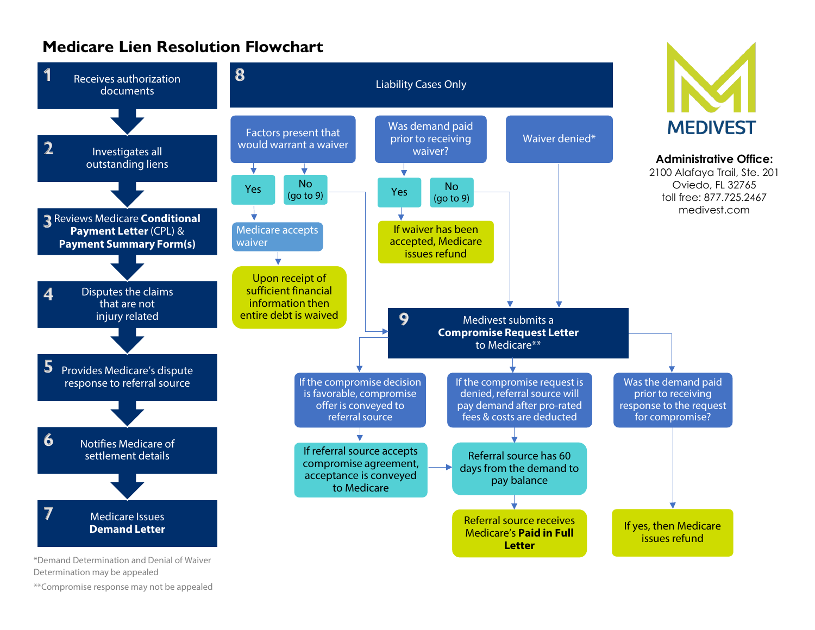# **Medicare Lien Resolution Flowchart**



\*\*Compromise response may not be appealed